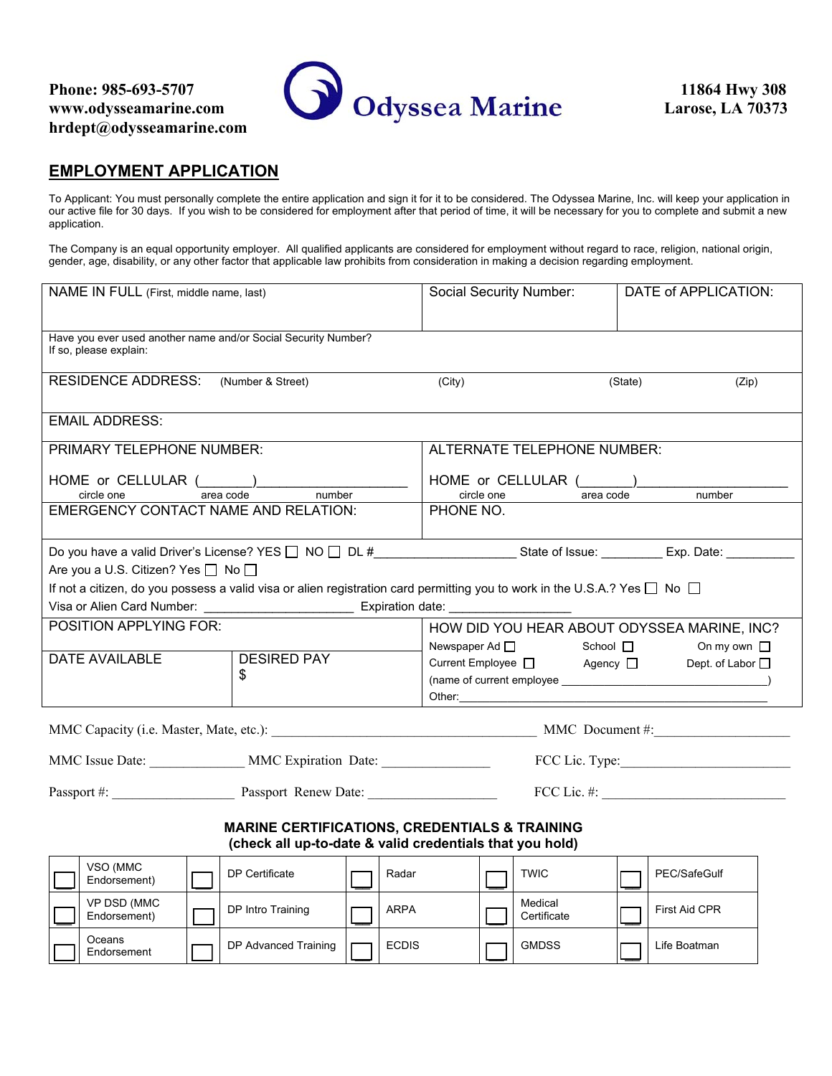**Oceans** Endorsement



### **EMPLOYMENT APPLICATION**

To Applicant: You must personally complete the entire application and sign it for it to be considered. The Odyssea Marine, Inc. will keep your application in our active file for 30 days. If you wish to be considered for employment after that period of time, it will be necessary for you to complete and submit a new application.

The Company is an equal opportunity employer. All qualified applicants are considered for employment without regard to race, religion, national origin, gender, age, disability, or any other factor that applicable law prohibits from consideration in making a decision regarding employment.

| NAME IN FULL (First, middle name, last)                                                                                    |                           | Social Security Number:                                                                                                             | DATE of APPLICATION:                 |  |
|----------------------------------------------------------------------------------------------------------------------------|---------------------------|-------------------------------------------------------------------------------------------------------------------------------------|--------------------------------------|--|
| Have you ever used another name and/or Social Security Number?<br>If so, please explain:                                   |                           |                                                                                                                                     |                                      |  |
| <b>RESIDENCE ADDRESS:</b><br>(Number & Street)                                                                             |                           | (City)                                                                                                                              | (State)<br>(Zip)                     |  |
| <b>EMAIL ADDRESS:</b>                                                                                                      |                           |                                                                                                                                     |                                      |  |
| PRIMARY TELEPHONE NUMBER:                                                                                                  |                           | ALTERNATE TELEPHONE NUMBER:                                                                                                         |                                      |  |
| HOME or CELLULAR (All Carea code All Cricle one All Carea code All Cricle one                                              |                           | HOME or CELLULAR (Analysis Cricle one area code)                                                                                    | number                               |  |
| <b>EMERGENCY CONTACT NAME AND RELATION:</b>                                                                                | number                    | PHONE NO.                                                                                                                           |                                      |  |
|                                                                                                                            |                           |                                                                                                                                     |                                      |  |
| Do you have a valid Driver's License? YES □ NO □ DL #______________________State of Issue: _________ Exp. Date: __________ |                           |                                                                                                                                     |                                      |  |
| Are you a U.S. Citizen? Yes □ No □                                                                                         |                           |                                                                                                                                     |                                      |  |
|                                                                                                                            |                           | If not a citizen, do you possess a valid visa or alien registration card permitting you to work in the U.S.A.? Yes $\Box$ No $\Box$ |                                      |  |
|                                                                                                                            |                           |                                                                                                                                     |                                      |  |
| <b>POSITION APPLYING FOR:</b>                                                                                              |                           | HOW DID YOU HEAR ABOUT ODYSSEA MARINE, INC?                                                                                         |                                      |  |
| <b>DATE AVAILABLE</b>                                                                                                      | <b>DESIRED PAY</b>        | $Newspaper Ad \t\t D$ School $\Box$<br>Current Employee □ Agency □                                                                  | On my own $\Box$<br>Dept. of Labor □ |  |
|                                                                                                                            | \$                        | $(name of current employee \_{} \_{} \_{} \_{}$                                                                                     |                                      |  |
|                                                                                                                            |                           |                                                                                                                                     |                                      |  |
| MMC Capacity (i.e. Master, Mate, etc.): MMC Document #:                                                                    |                           |                                                                                                                                     |                                      |  |
|                                                                                                                            |                           |                                                                                                                                     |                                      |  |
| MMC Issue Date: ____________________ MMC Expiration Date: ______________________<br>FCC Lic. Type:                         |                           |                                                                                                                                     |                                      |  |
|                                                                                                                            |                           |                                                                                                                                     |                                      |  |
| <b>MARINE CERTIFICATIONS, CREDENTIALS &amp; TRAINING</b><br>(check all up-to-date & valid credentials that you hold)       |                           |                                                                                                                                     |                                      |  |
| VSO (MMC<br>Endorsement)                                                                                                   | DP Certificate<br>Radar   | <b>TWIC</b>                                                                                                                         | PEC/SafeGulf                         |  |
| VP DSD (MMC<br>Endorsement)                                                                                                | ARPA<br>DP Intro Training | Medical<br>Certificate                                                                                                              | First Aid CPR                        |  |

DP Advanced Training  $\Box$  ECDIS  $\Box$  GMDSS  $\Box$  Life Boatman

\_\_ \_\_ \_\_ \_\_ \_\_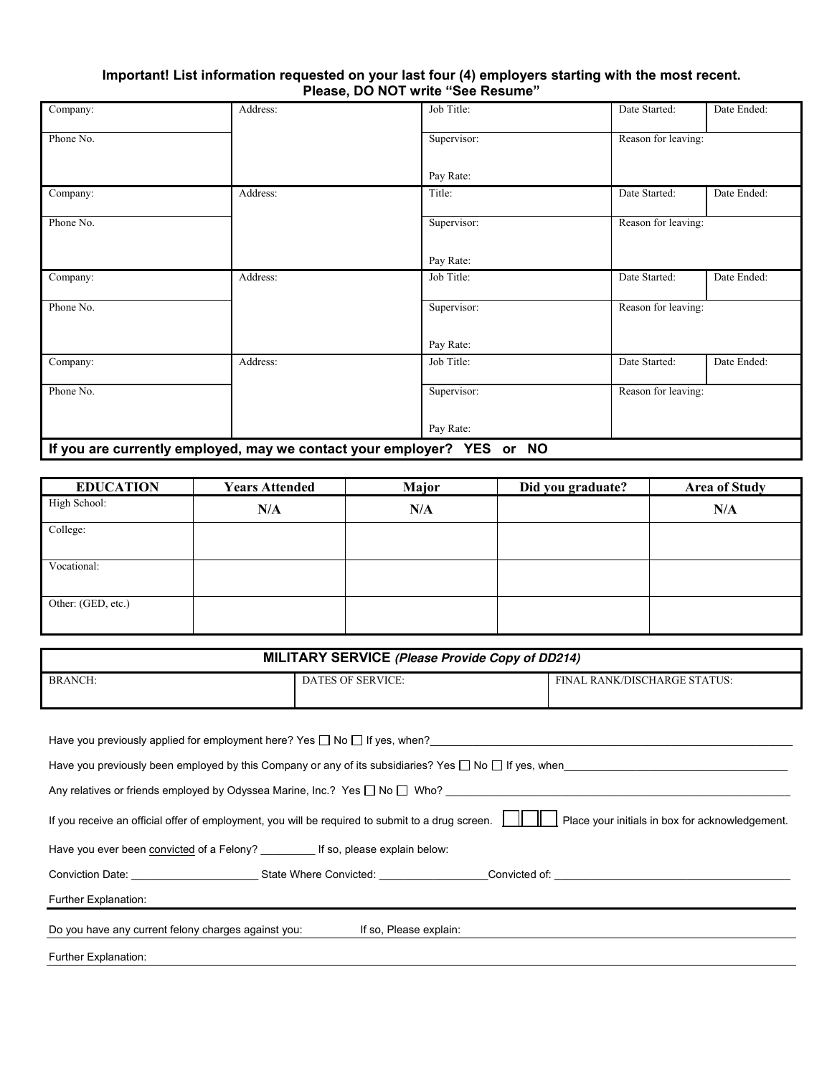#### **Important! List information requested on your last four (4) employers starting with the most recent. Please, DO NOT write "See Resume"**

| Company:                                                               | Address: | Job Title:  | Date Started:       | Date Ended: |
|------------------------------------------------------------------------|----------|-------------|---------------------|-------------|
| Phone No.                                                              |          | Supervisor: | Reason for leaving: |             |
|                                                                        |          | Pay Rate:   |                     |             |
| Company:                                                               | Address: | Title:      | Date Started:       | Date Ended: |
| Phone No.                                                              |          | Supervisor: | Reason for leaving: |             |
|                                                                        |          | Pay Rate:   |                     |             |
| Company:                                                               | Address: | Job Title:  | Date Started:       | Date Ended: |
| Phone No.                                                              |          | Supervisor: | Reason for leaving: |             |
|                                                                        |          | Pay Rate:   |                     |             |
| Company:                                                               | Address: | Job Title:  | Date Started:       | Date Ended: |
| Phone No.                                                              |          | Supervisor: | Reason for leaving: |             |
|                                                                        |          | Pay Rate:   |                     |             |
| If you are currently employed, may we contact your employer? YES or NO |          |             |                     |             |

| <b>EDUCATION</b>   | <b>Years Attended</b> | Major | Did you graduate? | <b>Area of Study</b> |
|--------------------|-----------------------|-------|-------------------|----------------------|
| High School:       | N/A                   | N/A   |                   | N/A                  |
| College:           |                       |       |                   |                      |
| Vocational:        |                       |       |                   |                      |
| Other: (GED, etc.) |                       |       |                   |                      |

| MILITARY SERVICE (Please Provide Copy of DD214)                                                                                                     |                          |                              |
|-----------------------------------------------------------------------------------------------------------------------------------------------------|--------------------------|------------------------------|
| <b>BRANCH:</b>                                                                                                                                      | <b>DATES OF SERVICE:</b> | FINAL RANK/DISCHARGE STATUS: |
|                                                                                                                                                     |                          |                              |
|                                                                                                                                                     |                          |                              |
|                                                                                                                                                     |                          |                              |
| Have you previously been employed by this Company or any of its subsidiaries? Yes $\Box$ No $\Box$ If yes, when                                     |                          |                              |
| Any relatives or friends employed by Odyssea Marine, Inc.? Yes □ No □ Who? ________________________                                                 |                          |                              |
| Place your initials in box for acknowledgement.<br>If you receive an official offer of employment, you will be required to submit to a drug screen. |                          |                              |
| Have you ever been convicted of a Felony? __________ If so, please explain below:                                                                   |                          |                              |
| Conviction Date: The State Where Convicted: Convicted of: Convicted of:                                                                             |                          |                              |
| Further Explanation:                                                                                                                                |                          |                              |
| Do you have any current felony charges against you:                                                                                                 | If so, Please explain:   |                              |
| Further Explanation:                                                                                                                                |                          |                              |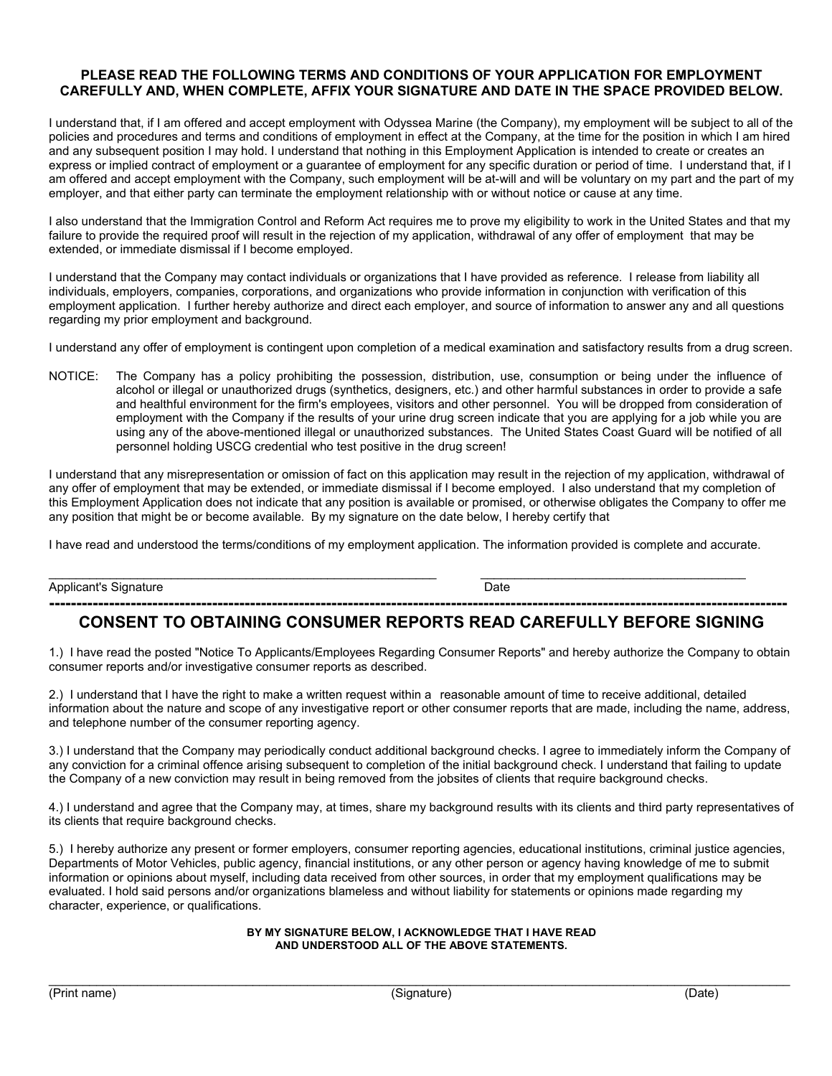#### **PLEASE READ THE FOLLOWING TERMS AND CONDITIONS OF YOUR APPLICATION FOR EMPLOYMENT CAREFULLY AND, WHEN COMPLETE, AFFIX YOUR SIGNATURE AND DATE IN THE SPACE PROVIDED BELOW.**

I understand that, if I am offered and accept employment with Odyssea Marine (the Company), my employment will be subject to all of the policies and procedures and terms and conditions of employment in effect at the Company, at the time for the position in which I am hired and any subsequent position I may hold. I understand that nothing in this Employment Application is intended to create or creates an express or implied contract of employment or a guarantee of employment for any specific duration or period of time. I understand that, if I am offered and accept employment with the Company, such employment will be at-will and will be voluntary on my part and the part of my employer, and that either party can terminate the employment relationship with or without notice or cause at any time.

I also understand that the Immigration Control and Reform Act requires me to prove my eligibility to work in the United States and that my failure to provide the required proof will result in the rejection of my application, withdrawal of any offer of employment that may be extended, or immediate dismissal if I become employed.

I understand that the Company may contact individuals or organizations that I have provided as reference. I release from liability all individuals, employers, companies, corporations, and organizations who provide information in conjunction with verification of this employment application. I further hereby authorize and direct each employer, and source of information to answer any and all questions regarding my prior employment and background.

I understand any offer of employment is contingent upon completion of a medical examination and satisfactory results from a drug screen.

NOTICE: The Company has a policy prohibiting the possession, distribution, use, consumption or being under the influence of alcohol or illegal or unauthorized drugs (synthetics, designers, etc.) and other harmful substances in order to provide a safe and healthful environment for the firm's employees, visitors and other personnel. You will be dropped from consideration of employment with the Company if the results of your urine drug screen indicate that you are applying for a job while you are using any of the above-mentioned illegal or unauthorized substances. The United States Coast Guard will be notified of all personnel holding USCG credential who test positive in the drug screen!

I understand that any misrepresentation or omission of fact on this application may result in the rejection of my application, withdrawal of any offer of employment that may be extended, or immediate dismissal if I become employed. I also understand that my completion of this Employment Application does not indicate that any position is available or promised, or otherwise obligates the Company to offer me any position that might be or become available. By my signature on the date below, I hereby certify that

I have read and understood the terms/conditions of my employment application. The information provided is complete and accurate.

Applicant's Signature Date Date

 $\_$  ,  $\_$  ,  $\_$  ,  $\_$  ,  $\_$  ,  $\_$  ,  $\_$  ,  $\_$  ,  $\_$  ,  $\_$  ,  $\_$  ,  $\_$  ,  $\_$  ,  $\_$  ,  $\_$  ,  $\_$  ,  $\_$  ,  $\_$  ,  $\_$  ,  $\_$  ,  $\_$  ,  $\_$  ,  $\_$  ,  $\_$  ,  $\_$  ,  $\_$  ,  $\_$  ,  $\_$  ,  $\_$  ,  $\_$  ,  $\_$  ,  $\_$  ,  $\_$  ,  $\_$  ,  $\_$  ,  $\_$  ,  $\_$  ,

#### **---------------------------------------------------------------------------------------------------------------------------------------- CONSENT TO OBTAINING CONSUMER REPORTS READ CAREFULLY BEFORE SIGNING**

1.) I have read the posted "Notice To Applicants/Employees Regarding Consumer Reports" and hereby authorize the Company to obtain consumer reports and/or investigative consumer reports as described.

2.) I understand that I have the right to make a written request within a reasonable amount of time to receive additional, detailed information about the nature and scope of any investigative report or other consumer reports that are made, including the name, address, and telephone number of the consumer reporting agency.

3.) I understand that the Company may periodically conduct additional background checks. I agree to immediately inform the Company of any conviction for a criminal offence arising subsequent to completion of the initial background check. I understand that failing to update the Company of a new conviction may result in being removed from the jobsites of clients that require background checks.

4.) I understand and agree that the Company may, at times, share my background results with its clients and third party representatives of its clients that require background checks.

5.) I hereby authorize any present or former employers, consumer reporting agencies, educational institutions, criminal justice agencies, Departments of Motor Vehicles, public agency, financial institutions, or any other person or agency having knowledge of me to submit information or opinions about myself, including data received from other sources, in order that my employment qualifications may be evaluated. I hold said persons and/or organizations blameless and without liability for statements or opinions made regarding my character, experience, or qualifications.

#### **BY MY SIGNATURE BELOW, I ACKNOWLEDGE THAT I HAVE READ AND UNDERSTOOD ALL OF THE ABOVE STATEMENTS.**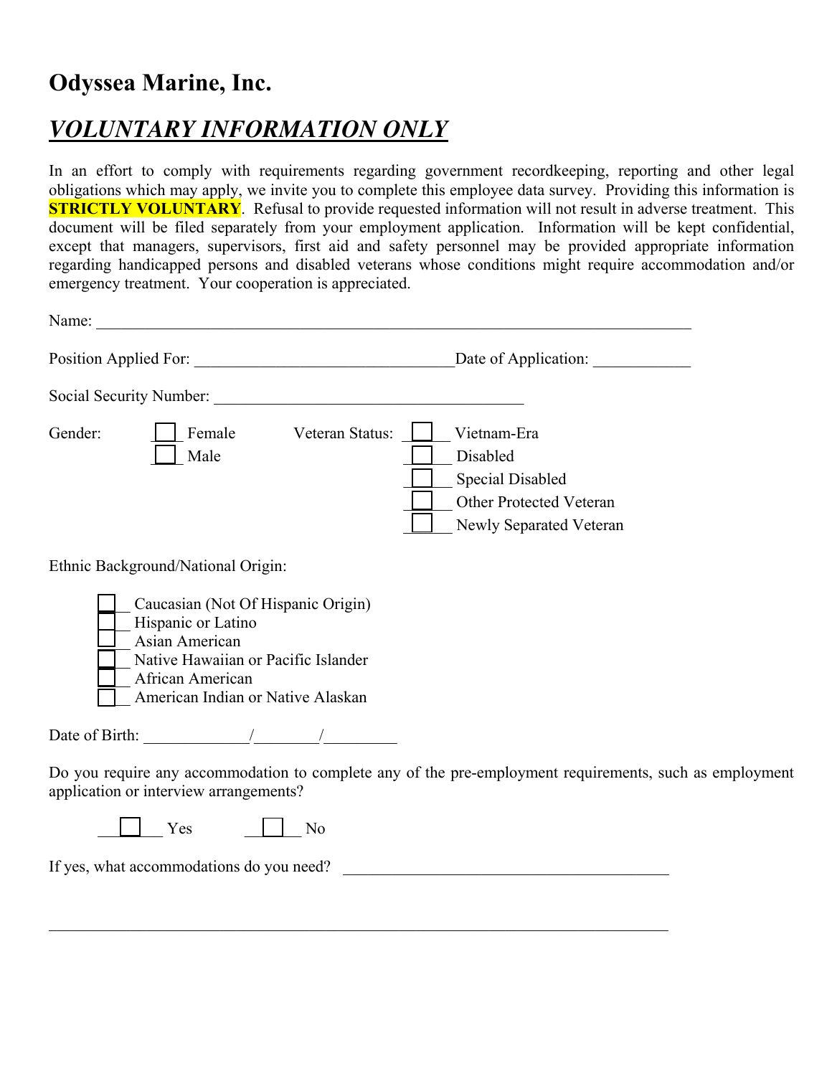### **Odyssea Marine, Inc.**

## *VOLUNTARY INFORMATION ONLY*

In an effort to comply with requirements regarding government recordkeeping, reporting and other legal obligations which may apply, we invite you to complete this employee data survey. Providing this information is **STRICTLY VOLUNTARY**. Refusal to provide requested information will not result in adverse treatment. This document will be filed separately from your employment application. Information will be kept confidential, except that managers, supervisors, first aid and safety personnel may be provided appropriate information regarding handicapped persons and disabled veterans whose conditions might require accommodation and/or emergency treatment. Your cooperation is appreciated.

| Name:<br><u> 1989 - Jan James James Barnett, martin de filosofoar (h. 1982).</u>                                                                                                                                 |                                                                                                                             |
|------------------------------------------------------------------------------------------------------------------------------------------------------------------------------------------------------------------|-----------------------------------------------------------------------------------------------------------------------------|
|                                                                                                                                                                                                                  |                                                                                                                             |
|                                                                                                                                                                                                                  |                                                                                                                             |
| Gender:<br>Female<br>Male                                                                                                                                                                                        | Veteran Status:<br>Vietnam-Era<br>Disabled<br>Special Disabled<br><b>Other Protected Veteran</b><br>Newly Separated Veteran |
| Ethnic Background/National Origin:<br>Caucasian (Not Of Hispanic Origin)<br>Hispanic or Latino<br>Asian American<br>Native Hawaiian or Pacific Islander<br>African American<br>American Indian or Native Alaskan |                                                                                                                             |
| Date of Birth: $\frac{1}{2}$ /                                                                                                                                                                                   |                                                                                                                             |
| application or interview arrangements?                                                                                                                                                                           | Do you require any accommodation to complete any of the pre-employment requirements, such as employment                     |
| Yes<br>N <sub>o</sub>                                                                                                                                                                                            |                                                                                                                             |
| If yes, what accommodations do you need?                                                                                                                                                                         |                                                                                                                             |